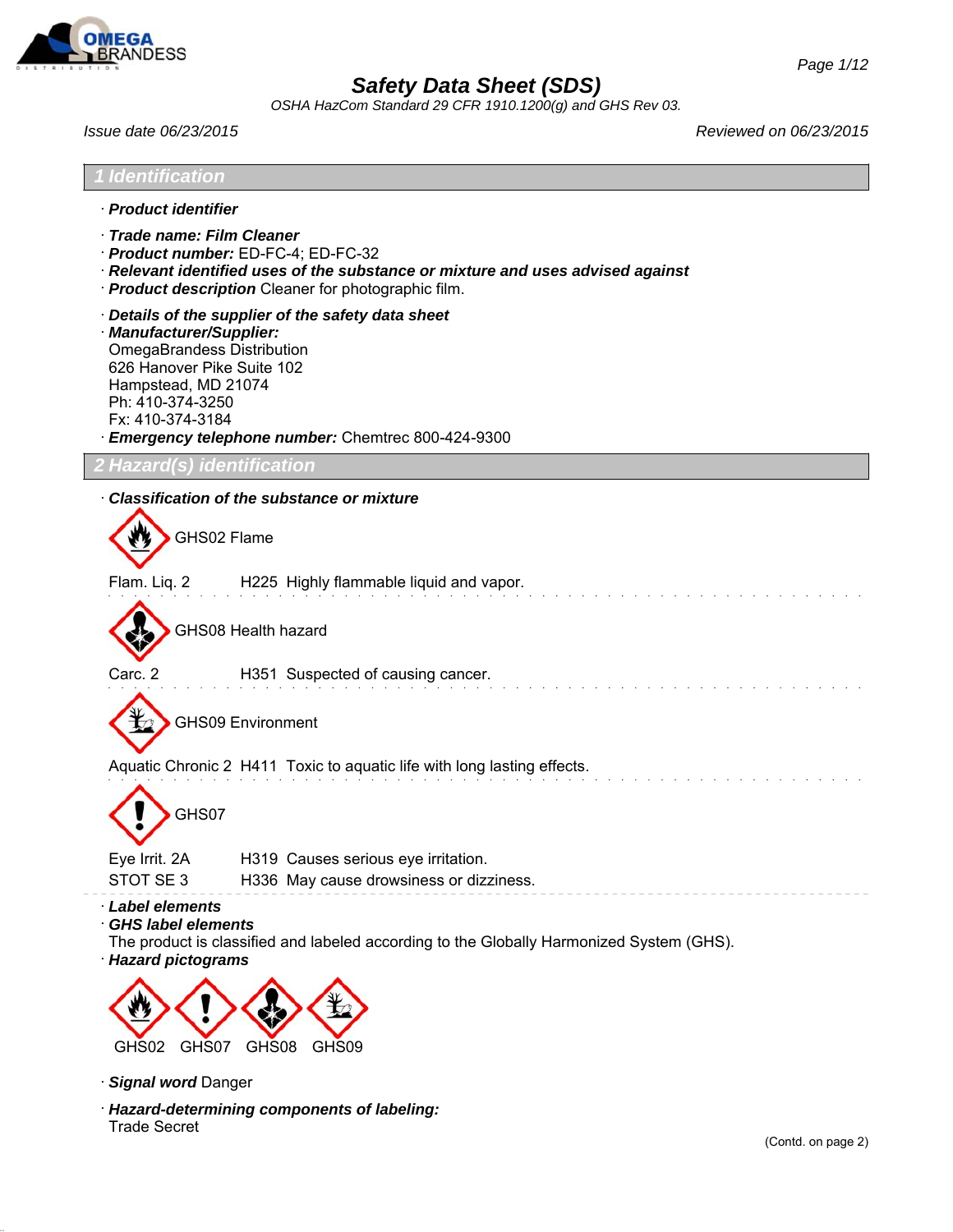

*OSHA HazCom Standard 29 CFR 1910.1200(g) and GHS Rev 03.*



- · *Signal word* Danger
- · *Hazard-determining components of labeling:* Trade Secret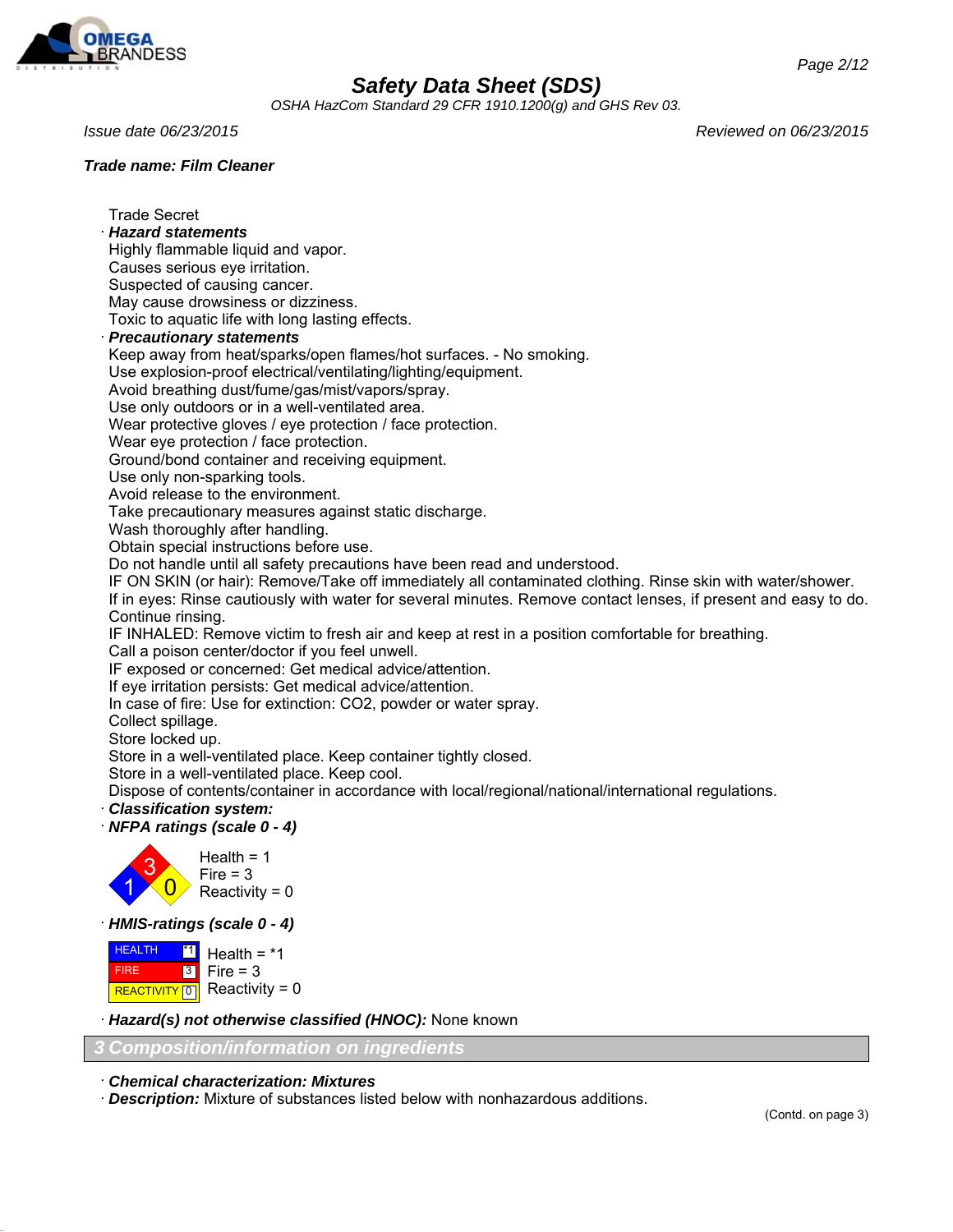

*OSHA HazCom Standard 29 CFR 1910.1200(g) and GHS Rev 03.*

Trade Secret · *Hazard statements*

### *Trade name: Film Cleaner*

*Issue date 06/23/2015 Reviewed on 06/23/2015*

Causes serious eye irritation. Suspected of causing cancer. May cause drowsiness or dizziness. Toxic to aquatic life with long lasting effects. · *Precautionary statements* Keep away from heat/sparks/open flames/hot surfaces. - No smoking. Use explosion-proof electrical/ventilating/lighting/equipment. Avoid breathing dust/fume/gas/mist/vapors/spray. Use only outdoors or in a well-ventilated area. Wear protective gloves / eye protection / face protection. Wear eye protection / face protection. Ground/bond container and receiving equipment. Use only non-sparking tools. Avoid release to the environment. Take precautionary measures against static discharge.

Wash thoroughly after handling.

Highly flammable liquid and vapor.

Obtain special instructions before use.

Do not handle until all safety precautions have been read and understood.

IF ON SKIN (or hair): Remove/Take off immediately all contaminated clothing. Rinse skin with water/shower.

If in eyes: Rinse cautiously with water for several minutes. Remove contact lenses, if present and easy to do. Continue rinsing.

IF INHALED: Remove victim to fresh air and keep at rest in a position comfortable for breathing.

Call a poison center/doctor if you feel unwell.

IF exposed or concerned: Get medical advice/attention.

If eye irritation persists: Get medical advice/attention.

In case of fire: Use for extinction: CO2, powder or water spray.

Collect spillage.

Store locked up.

Store in a well-ventilated place. Keep container tightly closed.

Store in a well-ventilated place. Keep cool.

Dispose of contents/container in accordance with local/regional/national/international regulations.

### · *Classification system:*

· *NFPA ratings (scale 0 - 4)*



· *HMIS-ratings (scale 0 - 4)*

 HEALTH FIRE **REACTIVITY** 0 \*1 3 Health  $=$   $*1$  $Fire = 3$ Reactivity =  $0$ 

· *Hazard(s) not otherwise classified (HNOC):* None known

### *3 Composition/information on ingredients*

· *Chemical characterization: Mixtures*

· *Description:* Mixture of substances listed below with nonhazardous additions.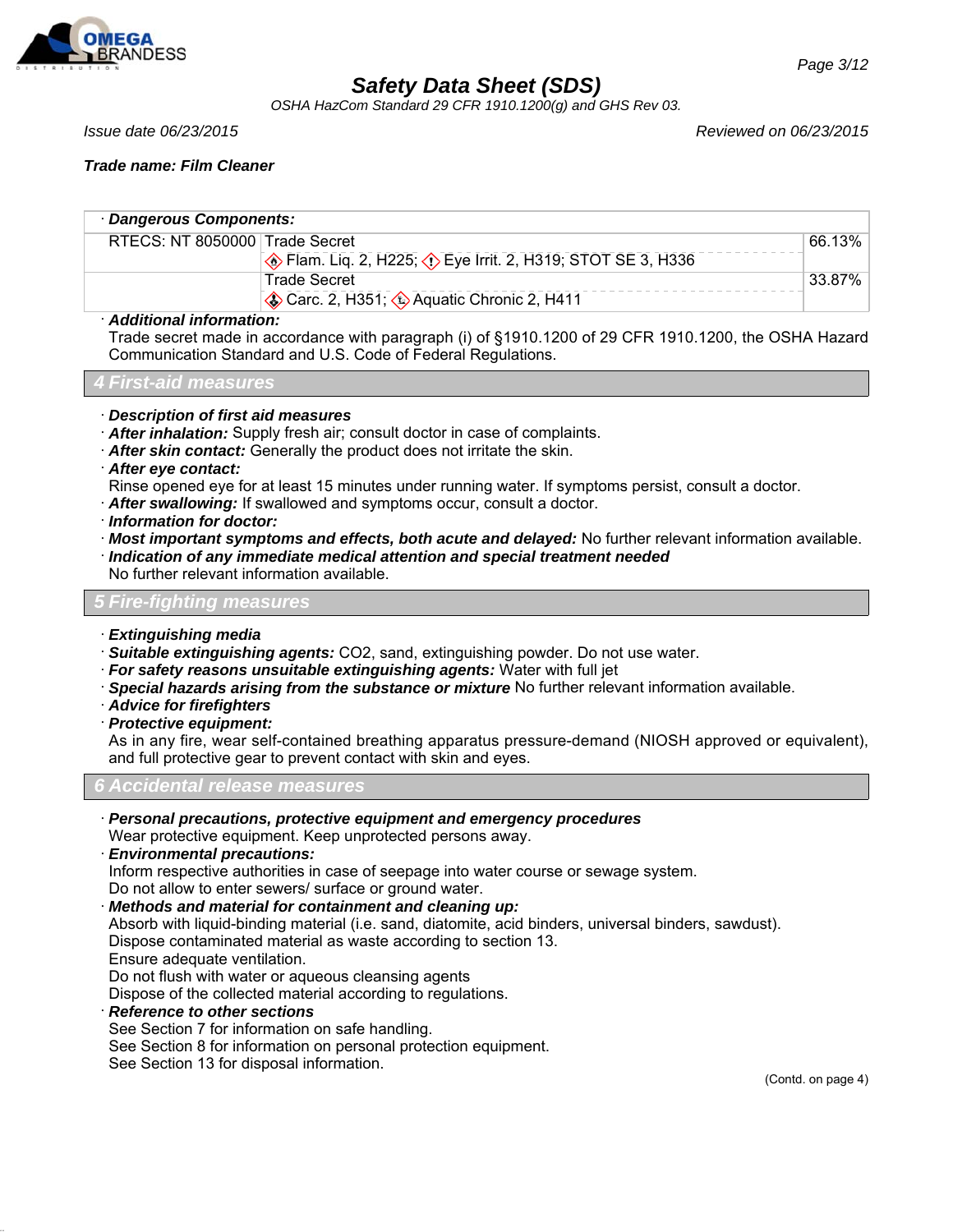

*OSHA HazCom Standard 29 CFR 1910.1200(g) and GHS Rev 03.*

### *Trade name: Film Cleaner*

| · Dangerous Components:        |                                                                        |               |  |
|--------------------------------|------------------------------------------------------------------------|---------------|--|
| RTECS: NT 8050000 Trade Secret |                                                                        | 66.13%        |  |
|                                | <b>Example 2.</b> H225; <b>(i)</b> Eye Irrit. 2, H319; STOT SE 3, H336 |               |  |
|                                | Trade Secret                                                           | $\pm 33.87\%$ |  |
|                                | Carc. 2, H351; Aquatic Chronic 2, H411                                 |               |  |
| . Additional information.      |                                                                        |               |  |

#### · *Additional information:*

Trade secret made in accordance with paragraph (i) of §1910.1200 of 29 CFR 1910.1200, the OSHA Hazard Communication Standard and U.S. Code of Federal Regulations.

|  |  | <b>4 First-aid measures</b> |
|--|--|-----------------------------|
|  |  |                             |
|  |  |                             |
|  |  |                             |

- · *Description of first aid measures*
- · *After inhalation:* Supply fresh air; consult doctor in case of complaints.
- · *After skin contact:* Generally the product does not irritate the skin.
- · *After eye contact:*
- Rinse opened eye for at least 15 minutes under running water. If symptoms persist, consult a doctor.
- · *After swallowing:* If swallowed and symptoms occur, consult a doctor.
- · *Information for doctor:*
- · *Most important symptoms and effects, both acute and delayed:* No further relevant information available.
- · *Indication of any immediate medical attention and special treatment needed*
- No further relevant information available.

#### *5 Fire-fighting measures*

- · *Extinguishing media*
- · *Suitable extinguishing agents:* CO2, sand, extinguishing powder. Do not use water.
- · *For safety reasons unsuitable extinguishing agents:* Water with full jet
- · *Special hazards arising from the substance or mixture* No further relevant information available.
- · *Advice for firefighters*
- · *Protective equipment:*

As in any fire, wear self-contained breathing apparatus pressure-demand (NIOSH approved or equivalent), and full protective gear to prevent contact with skin and eyes.

*6 Accidental release measures*

- · *Personal precautions, protective equipment and emergency procedures*
- Wear protective equipment. Keep unprotected persons away.
- · *Environmental precautions:* Inform respective authorities in case of seepage into water course or sewage system. Do not allow to enter sewers/ surface or ground water.
- · *Methods and material for containment and cleaning up:*

Absorb with liquid-binding material (i.e. sand, diatomite, acid binders, universal binders, sawdust). Dispose contaminated material as waste according to section 13.

Ensure adequate ventilation.

Do not flush with water or aqueous cleansing agents

Dispose of the collected material according to regulations.

· *Reference to other sections*

See Section 7 for information on safe handling.

See Section 8 for information on personal protection equipment.

See Section 13 for disposal information.

(Contd. on page 4)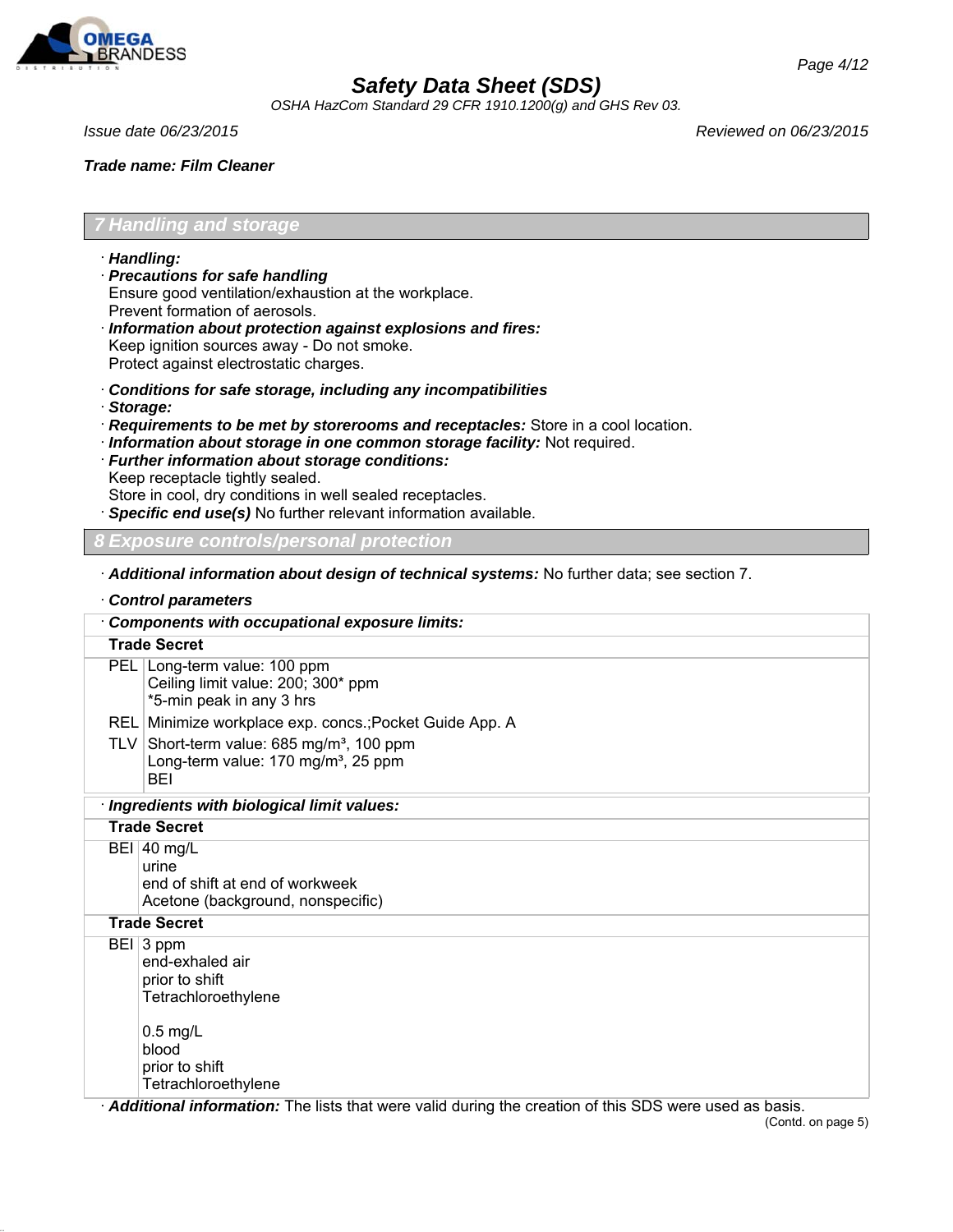

*OSHA HazCom Standard 29 CFR 1910.1200(g) and GHS Rev 03.*

*Issue date 06/23/2015 Reviewed on 06/23/2015*

*Trade name: Film Cleaner*

### *7 Handling and storage*

- · *Handling:*
- · *Precautions for safe handling* Ensure good ventilation/exhaustion at the workplace. Prevent formation of aerosols.
- · *Information about protection against explosions and fires:* Keep ignition sources away - Do not smoke. Protect against electrostatic charges.
- · *Conditions for safe storage, including any incompatibilities*
- · *Storage:*
- · *Requirements to be met by storerooms and receptacles:* Store in a cool location.
- · *Information about storage in one common storage facility:* Not required.
- · *Further information about storage conditions:* Keep receptacle tightly sealed.

Store in cool, dry conditions in well sealed receptacles.

· *Specific end use(s)* No further relevant information available.

#### *8 Exposure controls/personal protection*

· *Additional information about design of technical systems:* No further data; see section 7.

· *Control parameters*

| <b>Components with occupational exposure limits:</b>                                                            |
|-----------------------------------------------------------------------------------------------------------------|
| <b>Trade Secret</b>                                                                                             |
| PEL Long-term value: 100 ppm<br>Ceiling limit value: 200; 300* ppm<br>*5-min peak in any 3 hrs                  |
| REL Minimize workplace exp. concs.; Pocket Guide App. A                                                         |
| TLV Short-term value: 685 mg/m <sup>3</sup> , 100 ppm<br>Long-term value: 170 mg/m <sup>3</sup> , 25 ppm<br>BEI |
| · Ingredients with biological limit values:                                                                     |
| <b>Trade Secret</b>                                                                                             |
| $BEI$ 40 mg/L<br>urine<br>end of shift at end of workweek<br>Acetone (background, nonspecific)                  |
| <b>Trade Secret</b>                                                                                             |
| BEI 3 ppm<br>end-exhaled air<br>prior to shift<br>Tetrachloroethylene<br>$0.5$ mg/L                             |
| blood                                                                                                           |
| prior to shift                                                                                                  |
| Tetrachloroethylene                                                                                             |

· *Additional information:* The lists that were valid during the creation of this SDS were used as basis. (Contd. on page 5)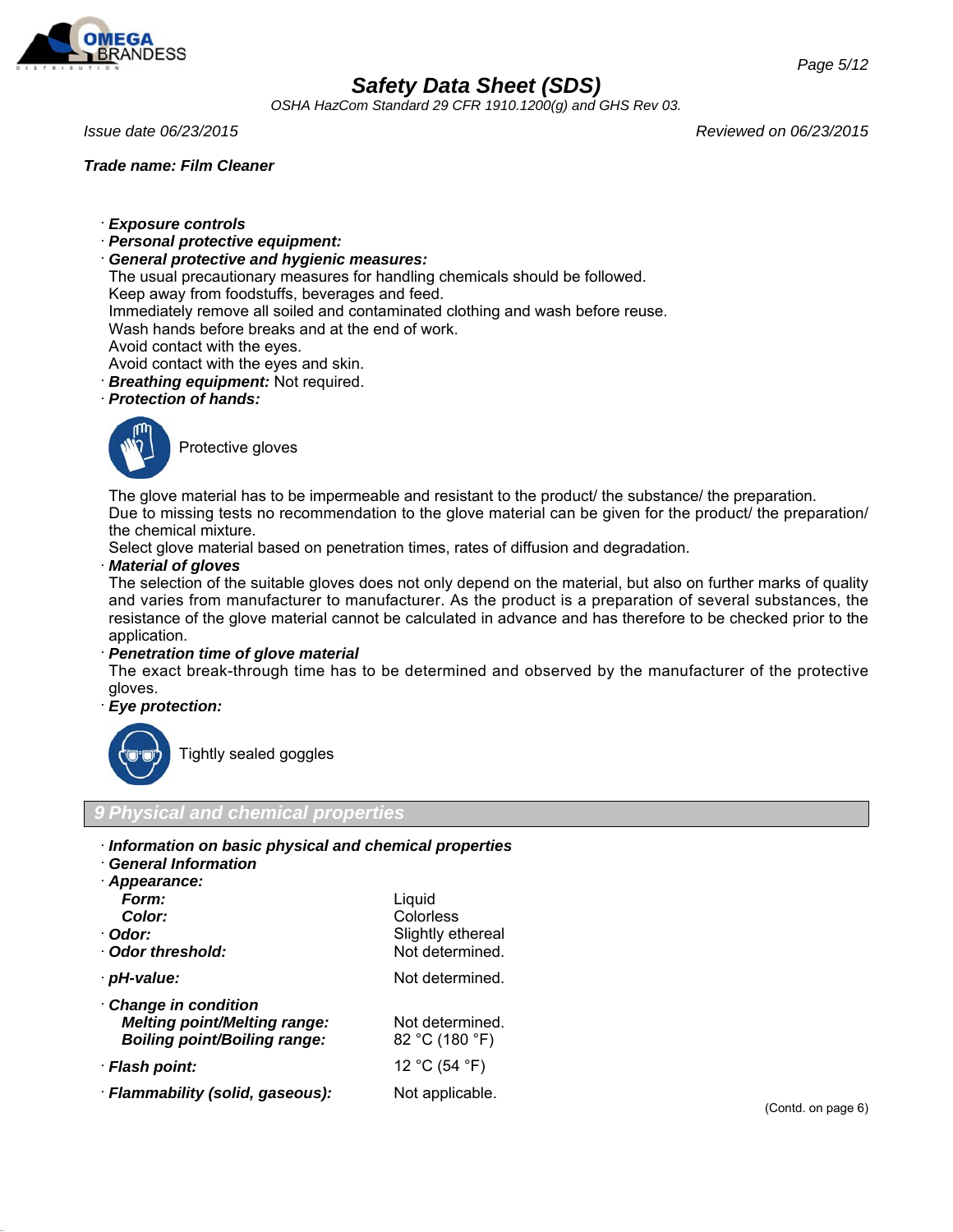

*OSHA HazCom Standard 29 CFR 1910.1200(g) and GHS Rev 03.*

#### *Trade name: Film Cleaner*

*Issue date 06/23/2015 Reviewed on 06/23/2015*

- · *Exposure controls*
- · *Personal protective equipment:*
- · *General protective and hygienic measures:*

The usual precautionary measures for handling chemicals should be followed.

Keep away from foodstuffs, beverages and feed.

Immediately remove all soiled and contaminated clothing and wash before reuse.

Wash hands before breaks and at the end of work.

- Avoid contact with the eyes.
- Avoid contact with the eyes and skin.
- · *Breathing equipment:* Not required.
- · *Protection of hands:*



Protective gloves

The glove material has to be impermeable and resistant to the product/ the substance/ the preparation. Due to missing tests no recommendation to the glove material can be given for the product/ the preparation/ the chemical mixture.

Select glove material based on penetration times, rates of diffusion and degradation.

#### · *Material of gloves*

The selection of the suitable gloves does not only depend on the material, but also on further marks of quality and varies from manufacturer to manufacturer. As the product is a preparation of several substances, the resistance of the glove material cannot be calculated in advance and has therefore to be checked prior to the application.

· *Penetration time of glove material*

The exact break-through time has to be determined and observed by the manufacturer of the protective gloves.

· *Eye protection:*



Tightly sealed goggles

*9 Physical and chemical properties*

- · *Information on basic physical and chemical properties*
- · *General Information*

| · Appearance:                       |                   |
|-------------------------------------|-------------------|
| Form:                               | Liquid            |
| Color:                              | Colorless         |
| · Odor:                             | Slightly ethereal |
| Odor threshold:                     | Not determined.   |
| · pH-value:                         | Not determined.   |
| Change in condition                 |                   |
| <b>Melting point/Melting range:</b> | Not determined.   |
| <b>Boiling point/Boiling range:</b> | 82 °C (180 °F)    |
| · Flash point:                      | 12 °C (54 °F)     |
| · Flammability (solid, gaseous):    | Not applicable.   |
|                                     |                   |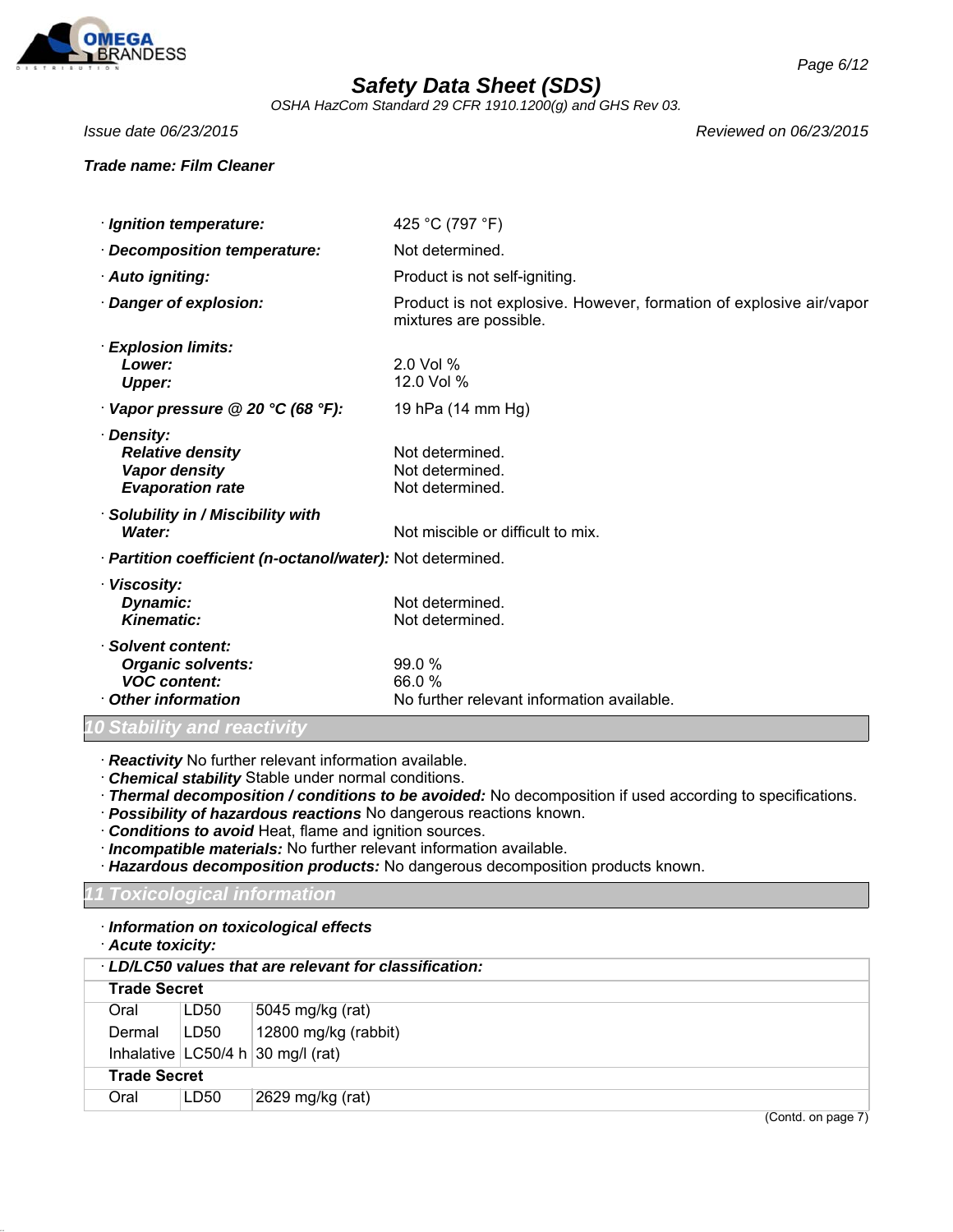

mixtures are possible.

*OSHA HazCom Standard 29 CFR 1910.1200(g) and GHS Rev 03.*

*Issue date 06/23/2015 Reviewed on 06/23/2015*

#### *Trade name: Film Cleaner*

 $\cdot$  *Ignition temperature:* 

**· Decomposition temperature:** 

| 425 °C (797 °F)               |  |
|-------------------------------|--|
| Not determined.               |  |
| Product is not self-igniting. |  |

· *Danger of explosion:* Product is not explosive. However, formation of explosive air/vapor

· Auto igniting:

- · *Explosion limits: Lower:* 2.0 Vol % *Upper:* 12.0 Vol %
- · *Vapor pressure @ 20 °C (68 °F):* 19 hPa (14 mm Hg)

| · Density:              |                 |
|-------------------------|-----------------|
| <b>Relative density</b> | Not determined. |
| Vapor density           | Not determined. |
| <b>Evaporation rate</b> | Not determined. |
|                         |                 |

- · *Solubility in / Miscibility with* **Water:** Not miscible or difficult to mix.
- · *Partition coefficient (n-octanol/water):* Not determined.

| · Viscosity:             |                                            |
|--------------------------|--------------------------------------------|
| Dynamic:                 | Not determined.                            |
| <b>Kinematic:</b>        | Not determined.                            |
| Solvent content:         |                                            |
| <b>Organic solvents:</b> | 99.0%                                      |
| <b>VOC content:</b>      | 66.0%                                      |
| Other information        | No further relevant information available. |

### *10 Stability and reactivity*

- · *Reactivity* No further relevant information available.
- · *Chemical stability* Stable under normal conditions.

· *Thermal decomposition / conditions to be avoided:* No decomposition if used according to specifications.

- · *Possibility of hazardous reactions* No dangerous reactions known.
- · *Conditions to avoid* Heat, flame and ignition sources.
- · *Incompatible materials:* No further relevant information available.
- · *Hazardous decomposition products:* No dangerous decomposition products known.

#### *11 Toxicological information*

- · *Information on toxicological effects*
- · *Acute toxicity:*

| LD/LC50 values that are relevant for classification: |      |                                     |                    |  |
|------------------------------------------------------|------|-------------------------------------|--------------------|--|
| <b>Trade Secret</b>                                  |      |                                     |                    |  |
| Oral                                                 | LD50 | 5045 mg/kg (rat)                    |                    |  |
| Dermal                                               | LD50 | 12800 mg/kg (rabbit)                |                    |  |
|                                                      |      | Inhalative $LC50/4 h$ 30 mg/l (rat) |                    |  |
| <b>Trade Secret</b>                                  |      |                                     |                    |  |
| Oral                                                 | LD50 | 2629 mg/kg (rat)                    |                    |  |
|                                                      |      |                                     | (Contd. on page 7) |  |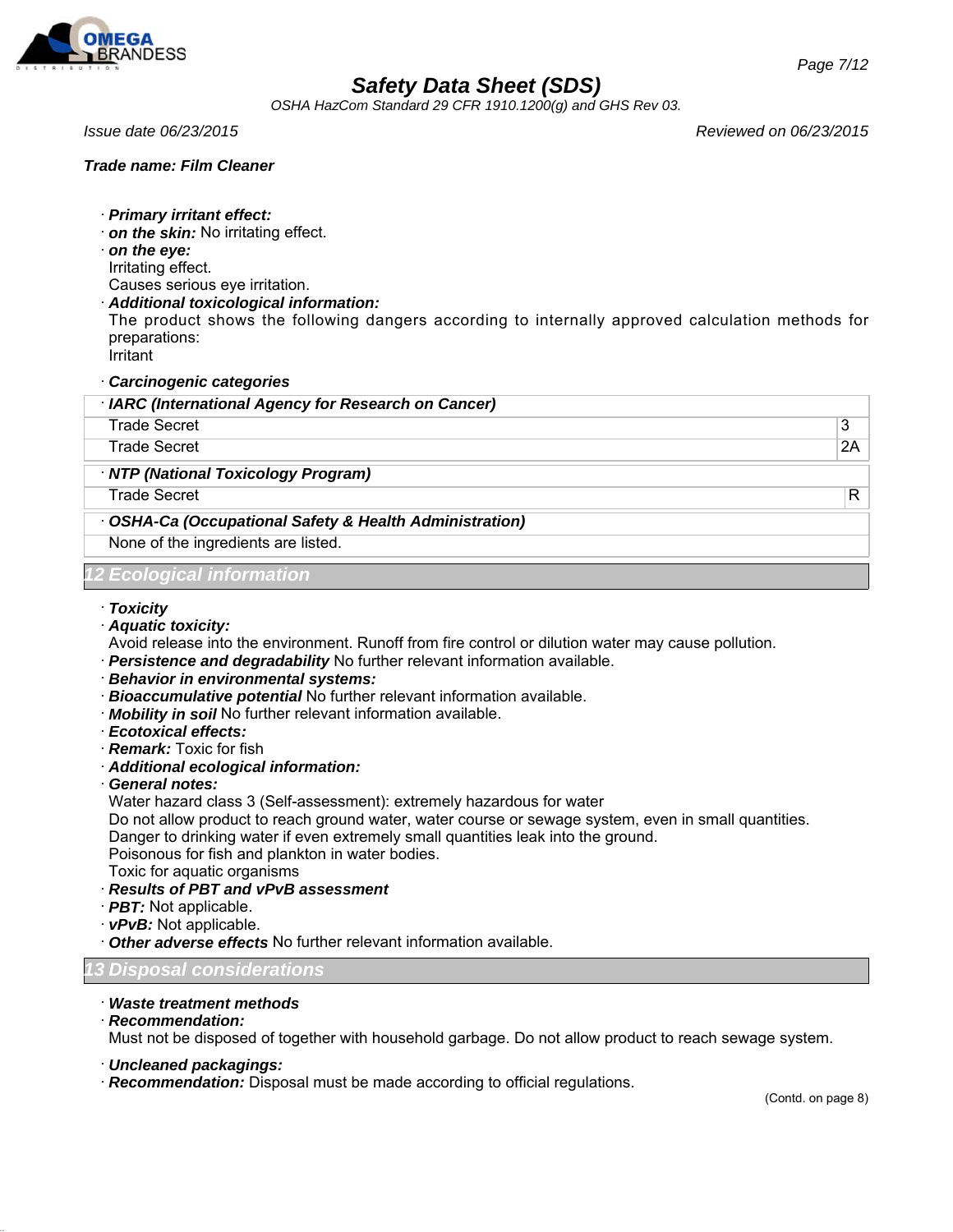

*OSHA HazCom Standard 29 CFR 1910.1200(g) and GHS Rev 03.*

### *Trade name: Film Cleaner*

*Issue date 06/23/2015 Reviewed on 06/23/2015*

- · *Primary irritant effect:*
- · *on the skin:* No irritating effect.
- · *on the eye:*
- Irritating effect.
- Causes serious eye irritation.
- · *Additional toxicological information:*

The product shows the following dangers according to internally approved calculation methods for preparations: Irritant

· *Carcinogenic categories*

| · IARC (International Agency for Research on Cancer)    |    |
|---------------------------------------------------------|----|
| <b>Trade Secret</b>                                     | 3  |
| Trade Secret                                            | 2A |
| · NTP (National Toxicology Program)                     |    |
| Trade Secret                                            | R  |
| · OSHA-Ca (Occupational Safety & Health Administration) |    |
| None of the ingredients are listed.                     |    |
| <b>12 Ecological information</b>                        |    |

#### · *Toxicity*

- · *Aquatic toxicity:*
- Avoid release into the environment. Runoff from fire control or dilution water may cause pollution.
- · *Persistence and degradability* No further relevant information available.
- · *Behavior in environmental systems:*
- · *Bioaccumulative potential* No further relevant information available.
- · *Mobility in soil* No further relevant information available.
- · *Ecotoxical effects:*
- · *Remark:* Toxic for fish
- · *Additional ecological information:*
- · *General notes:*
- Water hazard class 3 (Self-assessment): extremely hazardous for water

Do not allow product to reach ground water, water course or sewage system, even in small quantities.

Danger to drinking water if even extremely small quantities leak into the ground.

Poisonous for fish and plankton in water bodies.

- Toxic for aquatic organisms
- · *Results of PBT and vPvB assessment*
- · *PBT:* Not applicable.
- · *vPvB:* Not applicable.
- · *Other adverse effects* No further relevant information available.
- *13 Disposal considerations*
- · *Waste treatment methods*
- · *Recommendation:*

Must not be disposed of together with household garbage. Do not allow product to reach sewage system.

- · *Uncleaned packagings:*
- · *Recommendation:* Disposal must be made according to official regulations.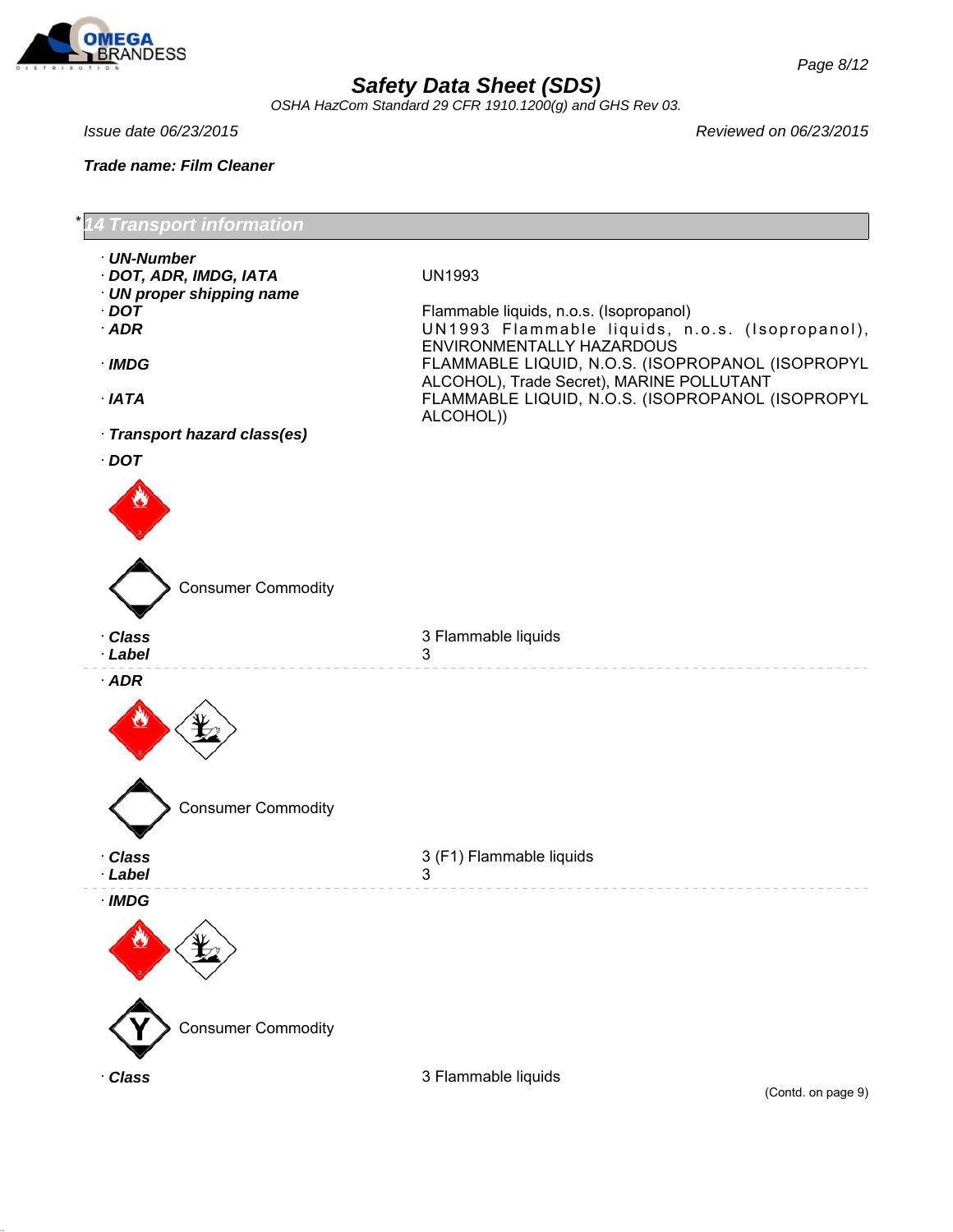

*OSHA HazCom Standard 29 CFR 1910.1200(g) and GHS Rev 03.*

*Trade name: Film Cleaner*

*Issue date 06/23/2015 Reviewed on 06/23/2015*



(Contd. on page 9)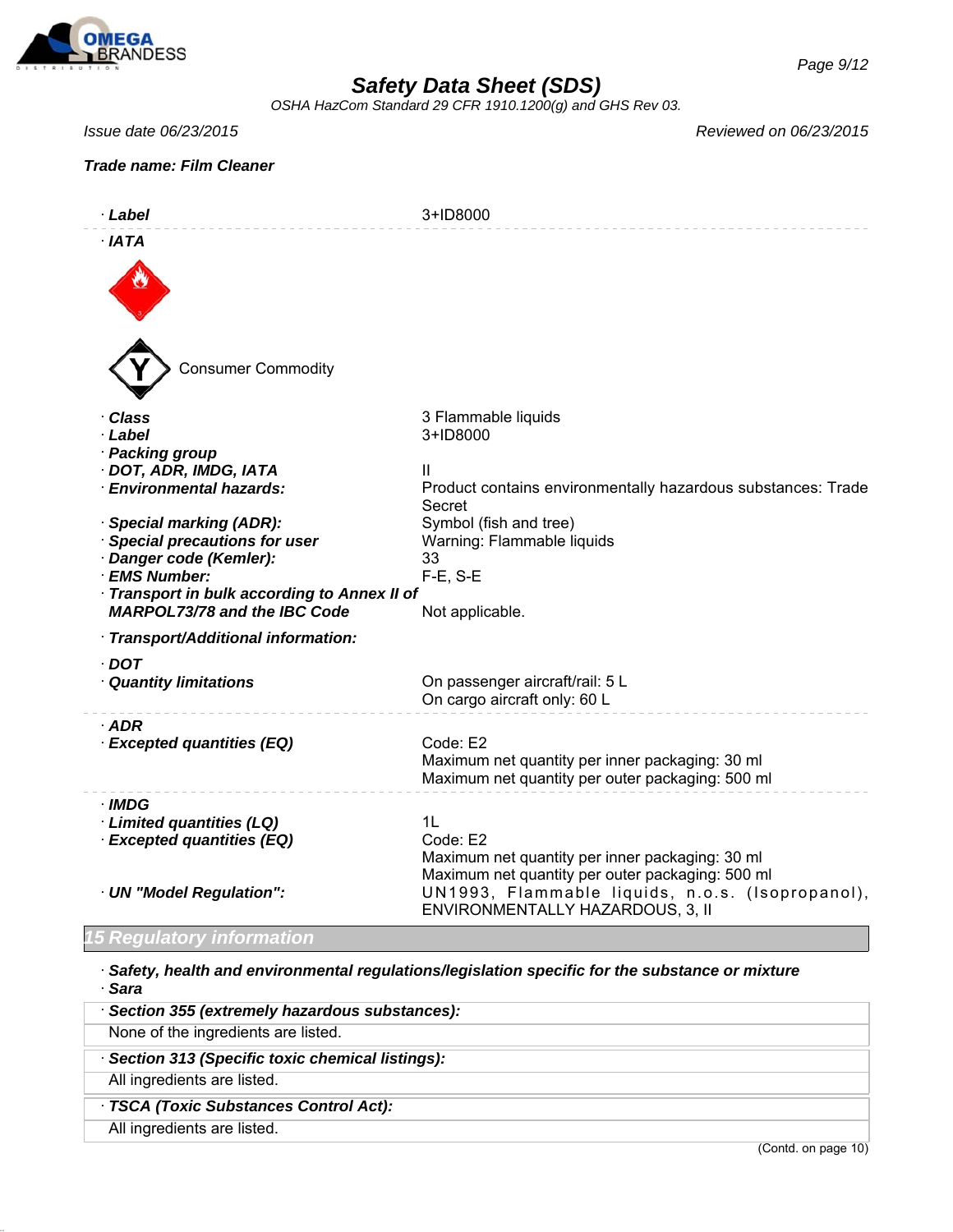

*OSHA HazCom Standard 29 CFR 1910.1200(g) and GHS Rev 03.*

### *Trade name: Film Cleaner*

*Issue date 06/23/2015 Reviewed on 06/23/2015*

| · Label                                                                                                                                                                                   | 3+ID8000                                                                                                                   |
|-------------------------------------------------------------------------------------------------------------------------------------------------------------------------------------------|----------------------------------------------------------------------------------------------------------------------------|
| $·$ IATA<br><b>Consumer Commodity</b>                                                                                                                                                     |                                                                                                                            |
| · Class<br>· Label<br>· Packing group<br>· DOT, ADR, IMDG, IATA<br><b>Environmental hazards:</b>                                                                                          | 3 Flammable liquids<br>3+ID8000<br>$\mathsf{II}$<br>Product contains environmentally hazardous substances: Trade<br>Secret |
| · Special marking (ADR):<br>· Special precautions for user<br>Danger code (Kemler):<br>· EMS Number:<br>Transport in bulk according to Annex II of<br><b>MARPOL73/78 and the IBC Code</b> | Symbol (fish and tree)<br>Warning: Flammable liquids<br>33<br>$F-E$ , S-E<br>Not applicable.                               |
| · Transport/Additional information:                                                                                                                                                       |                                                                                                                            |
| $\cdot$ DOT<br>· Quantity limitations                                                                                                                                                     | On passenger aircraft/rail: 5 L<br>On cargo aircraft only: 60 L                                                            |
| $·$ ADR<br>· Excepted quantities (EQ)                                                                                                                                                     | Code: E2<br>Maximum net quantity per inner packaging: 30 ml<br>Maximum net quantity per outer packaging: 500 ml            |
| · IMDG<br>· Limited quantities (LQ)<br>· Excepted quantities (EQ)                                                                                                                         | 1L<br>Code: E2<br>Maximum net quantity per inner packaging: 30 ml<br>Maximum net quantity per outer packaging: 500 ml      |
| · UN "Model Regulation":                                                                                                                                                                  | UN1993, Flammable liquids, n.o.s. (Isopropanol),<br>ENVIRONMENTALLY HAZARDOUS, 3, II                                       |

### *15 Regulatory information*

· *Safety, health and environmental regulations/legislation specific for the substance or mixture* · *Sara*

| Section 355 (extremely hazardous substances):   |                     |
|-------------------------------------------------|---------------------|
| None of the ingredients are listed.             |                     |
| Section 313 (Specific toxic chemical listings): |                     |
| All ingredients are listed.                     |                     |
| · TSCA (Toxic Substances Control Act):          |                     |
| All ingredients are listed.                     |                     |
|                                                 | (Contd. on page 10) |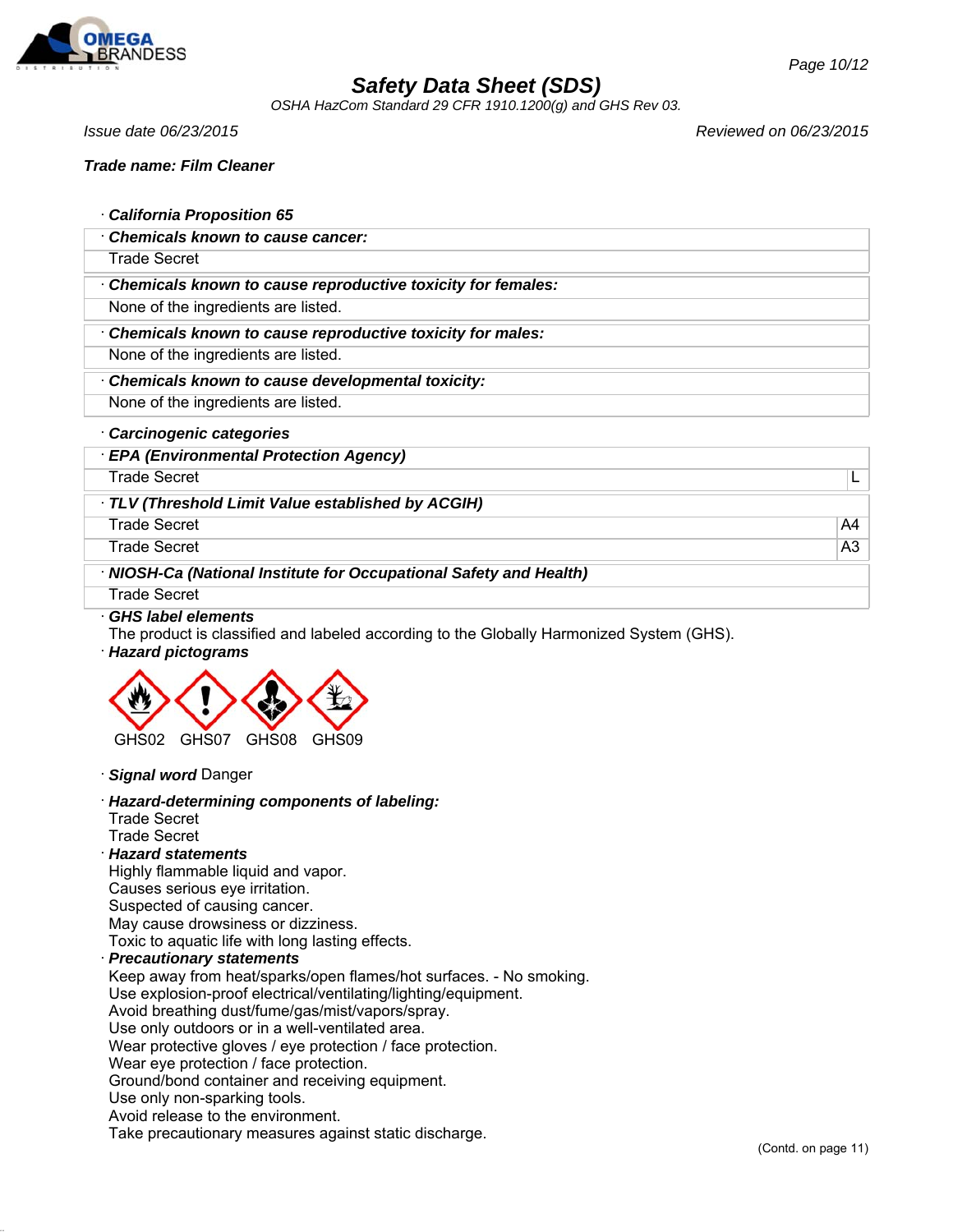

*OSHA HazCom Standard 29 CFR 1910.1200(g) and GHS Rev 03.*

*Issue date 06/23/2015 Reviewed on 06/23/2015*

|  | California Proposition 65 |  |
|--|---------------------------|--|
|  |                           |  |

· *Chemicals known to cause cancer:*

Trade Secret

· *Chemicals known to cause reproductive toxicity for females:*

None of the ingredients are listed.

· *Chemicals known to cause reproductive toxicity for males:*

None of the ingredients are listed.

· *Chemicals known to cause developmental toxicity:*

None of the ingredients are listed.

- · *Carcinogenic categories*
- · *EPA (Environmental Protection Agency)* Trade Secret Later and the secret state of the secret state of the secret state  $\mathsf{L}$ · *TLV (Threshold Limit Value established by ACGIH)* Trade Secret A4 and the secret A4 and the secret A4 and the secret A4 and the secret A4 and the secret A4 and the secret A4 and the secret A4 and the secret A4 and the secret A4 and the secret A4 and the secret A4 and the

Trade Secret A3

· *NIOSH-Ca (National Institute for Occupational Safety and Health)*

Trade Secret

#### · *GHS label elements*

The product is classified and labeled according to the Globally Harmonized System (GHS).

· *Hazard pictograms*



· *Signal word* Danger

· *Hazard-determining components of labeling:*

- Trade Secret
- Trade Secret

### · *Hazard statements*

Highly flammable liquid and vapor.

Causes serious eye irritation.

Suspected of causing cancer.

May cause drowsiness or dizziness.

Toxic to aquatic life with long lasting effects.

### · *Precautionary statements*

Keep away from heat/sparks/open flames/hot surfaces. - No smoking.

Use explosion-proof electrical/ventilating/lighting/equipment.

Avoid breathing dust/fume/gas/mist/vapors/spray.

Use only outdoors or in a well-ventilated area.

Wear protective gloves / eye protection / face protection.

Wear eye protection / face protection.

Ground/bond container and receiving equipment.

Use only non-sparking tools.

Avoid release to the environment.

Take precautionary measures against static discharge.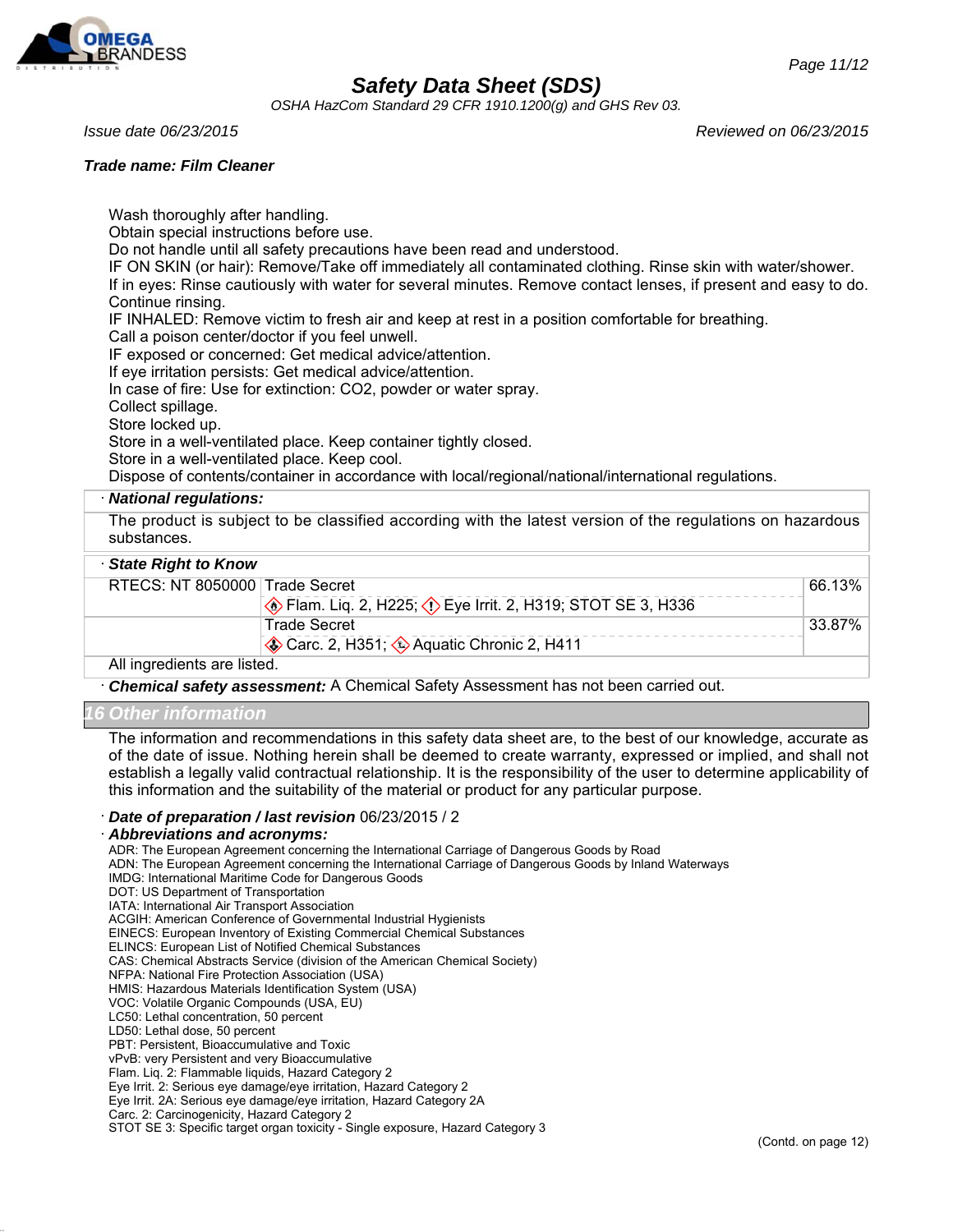

*OSHA HazCom Standard 29 CFR 1910.1200(g) and GHS Rev 03.*

#### *Trade name: Film Cleaner*

Wash thoroughly after handling. Obtain special instructions before use. Do not handle until all safety precautions have been read and understood. IF ON SKIN (or hair): Remove/Take off immediately all contaminated clothing. Rinse skin with water/shower. If in eyes: Rinse cautiously with water for several minutes. Remove contact lenses, if present and easy to do. Continue rinsing. IF INHALED: Remove victim to fresh air and keep at rest in a position comfortable for breathing. Call a poison center/doctor if you feel unwell. IF exposed or concerned: Get medical advice/attention. If eye irritation persists: Get medical advice/attention. In case of fire: Use for extinction: CO2, powder or water spray. Collect spillage. Store locked up. Store in a well-ventilated place. Keep container tightly closed. Store in a well-ventilated place. Keep cool. Dispose of contents/container in accordance with local/regional/national/international regulations. · *National regulations:*

The product is subject to be classified according with the latest version of the regulations on hazardous substances.

### · *State Right to Know*

| RTECS: NT 8050000 Trade Secret |                                                                      | $66.13\%$ |
|--------------------------------|----------------------------------------------------------------------|-----------|
|                                | <b>Example 2, H225; <i>C</i></b> Eye Irrit. 2, H319; STOT SE 3, H336 |           |
|                                | <b>Trade Secret</b>                                                  | 33.87%    |
|                                | Carc. 2, H351; 2 Aquatic Chronic 2, H411                             |           |
| All ingredients are listed.    |                                                                      |           |

· *Chemical safety assessment:* A Chemical Safety Assessment has not been carried out.

#### *16 Other information*

The information and recommendations in this safety data sheet are, to the best of our knowledge, accurate as of the date of issue. Nothing herein shall be deemed to create warranty, expressed or implied, and shall not establish a legally valid contractual relationship. It is the responsibility of the user to determine applicability of this information and the suitability of the material or product for any particular purpose.

#### · *Date of preparation / last revision* 06/23/2015 / 2

#### · *Abbreviations and acronyms:*

ADR: The European Agreement concerning the International Carriage of Dangerous Goods by Road

ADN: The European Agreement concerning the International Carriage of Dangerous Goods by Inland Waterways

- IMDG: International Maritime Code for Dangerous Goods
- DOT: US Department of Transportation

IATA: International Air Transport Association

ACGIH: American Conference of Governmental Industrial Hygienists

EINECS: European Inventory of Existing Commercial Chemical Substances

ELINCS: European List of Notified Chemical Substances

CAS: Chemical Abstracts Service (division of the American Chemical Society)

NFPA: National Fire Protection Association (USA)

HMIS: Hazardous Materials Identification System (USA)

VOC: Volatile Organic Compounds (USA, EU) LC50: Lethal concentration, 50 percent

LD50: Lethal dose, 50 percent

PBT: Persistent, Bioaccumulative and Toxic

vPvB: very Persistent and very Bioaccumulative

Flam. Liq. 2: Flammable liquids, Hazard Category 2

Eye Irrit. 2: Serious eye damage/eye irritation, Hazard Category 2

Eye Irrit. 2A: Serious eye damage/eye irritation, Hazard Category 2A

Carc. 2: Carcinogenicity, Hazard Category 2

STOT SE 3: Specific target organ toxicity - Single exposure, Hazard Category 3